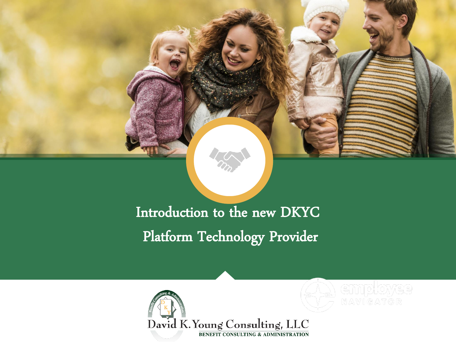

#### Introduction to the new DKYC Platform Technology Provider

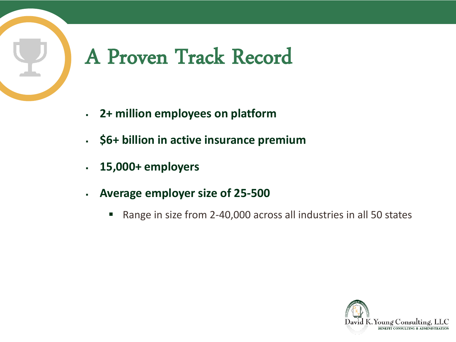### A Proven Track Record

- **2+ million employees on platform**
- **\$6+ billion in active insurance premium**
- **15,000+ employers**
- **Average employer size of 25-500**
	- Range in size from 2-40,000 across all industries in all 50 states

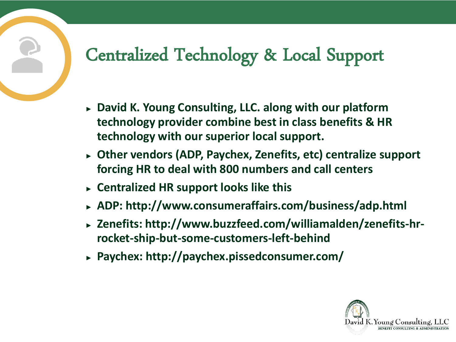#### Centralized Technology & Local Support

- ► **David K. Young Consulting, LLC. along with our platform technology provider combine best in class benefits & HR technology with our superior local support.**
- ► **Other vendors (ADP, Paychex, Zenefits, etc) centralize support forcing HR to deal with 800 numbers and call centers**
- ► **Centralized HR support looks like this**
- ► **ADP: http://www.consumeraffairs.com/business/adp.html**
- ► **Zenefits: http://www.buzzfeed.com/williamalden/zenefits-hrrocket-ship-but-some-customers-left-behind**
- ► **Paychex: http://paychex.pissedconsumer.com/**

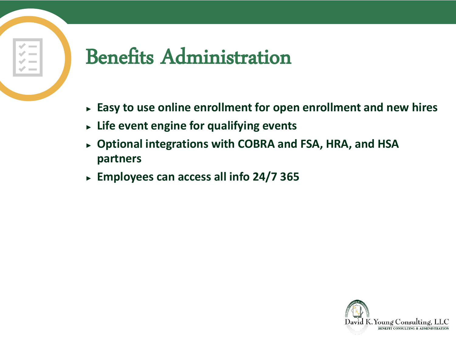### Benefits Administration

- ► **Easy to use online enrollment for open enrollment and new hires**
- ► **Life event engine for qualifying events**
- ► **Optional integrations with COBRA and FSA, HRA, and HSA partners**
- ► **Employees can access all info 24/7 365**

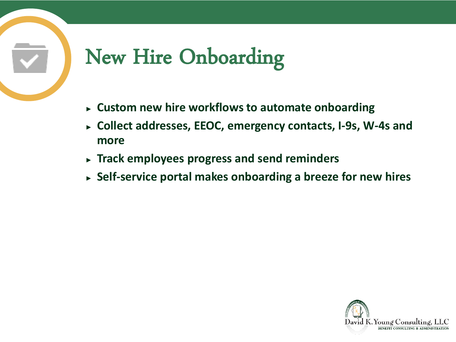## New Hire Onboarding

- ► **Custom new hire workflows to automate onboarding**
- ► **Collect addresses, EEOC, emergency contacts, I-9s, W-4s and more**
- ► **Track employees progress and send reminders**
- ► **Self-service portal makes onboarding a breeze for new hires**

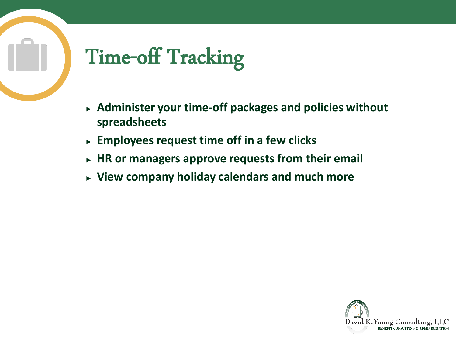## Time-off Tracking

- ► **Administer your time-off packages and policies without spreadsheets**
- ► **Employees request time off in a few clicks**
- ► **HR or managers approve requests from their email**
- ► **View company holiday calendars and much more**

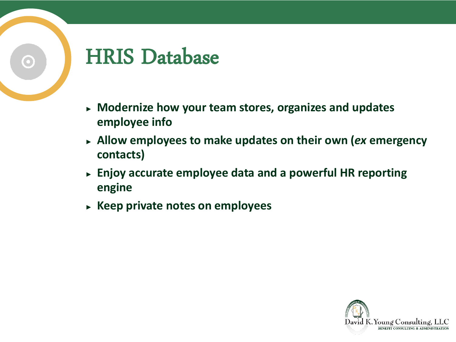### HRIS Database

- ► **Modernize how your team stores, organizes and updates employee info**
- ► **Allow employees to make updates on their own (***ex* **emergency contacts)**
- ► **Enjoy accurate employee data and a powerful HR reporting engine**
- ► **Keep private notes on employees**

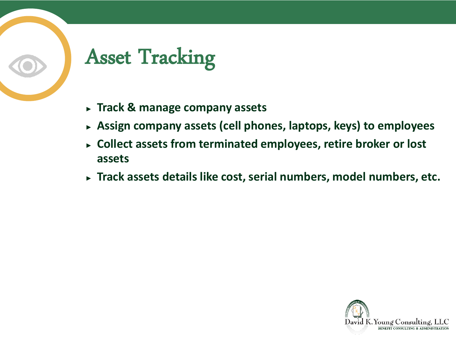# Asset Tracking

- ► **Track & manage company assets**
- ► **Assign company assets (cell phones, laptops, keys) to employees**
- ► **Collect assets from terminated employees, retire broker or lost assets**
- ► **Track assets details like cost, serial numbers, model numbers, etc.**

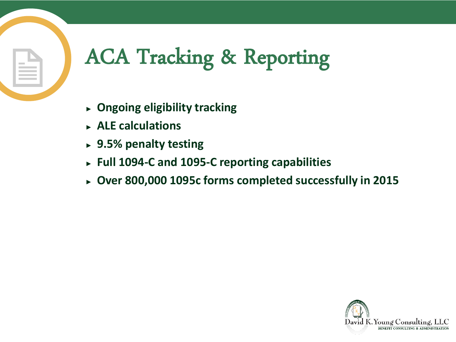# ACA Tracking & Reporting

- ► **Ongoing eligibility tracking**
- ► **ALE calculations**
- ► **9.5% penalty testing**
- ► **Full 1094-C and 1095-C reporting capabilities**
- ► **Over 800,000 1095c forms completed successfully in 2015**